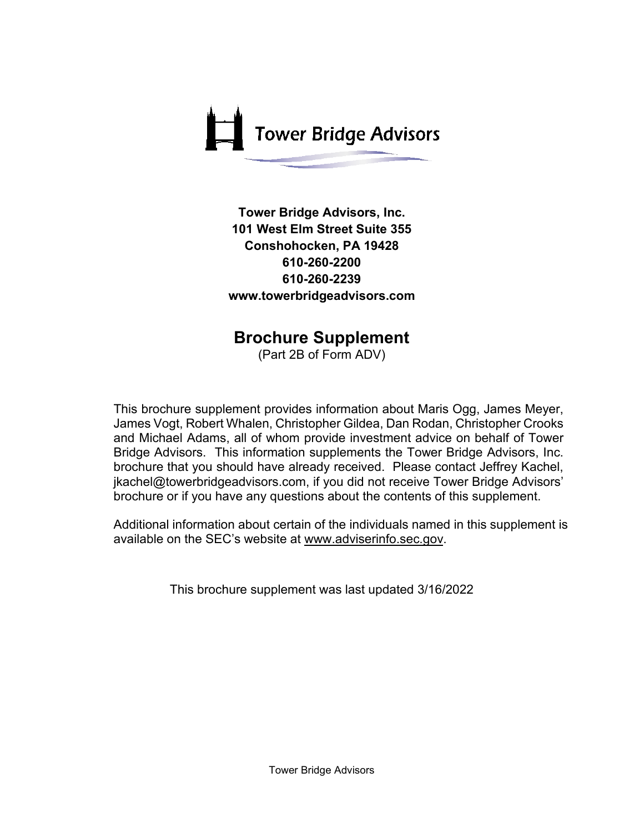

**Tower Bridge Advisors, Inc. 101 West Elm Street Suite 355 Conshohocken, PA 19428 610-260-2200 610-260-2239 www.towerbridgeadvisors.com**

# **Brochure Supplement**

(Part 2B of Form ADV)

This brochure supplement provides information about Maris Ogg, James Meyer, James Vogt, Robert Whalen, Christopher Gildea, Dan Rodan, Christopher Crooks and Michael Adams, all of whom provide investment advice on behalf of Tower Bridge Advisors. This information supplements the Tower Bridge Advisors, Inc. brochure that you should have already received. Please contact Jeffrey Kachel, jkachel@towerbridgeadvisors.com, if you did not receive Tower Bridge Advisors' brochure or if you have any questions about the contents of this supplement.

Additional information about certain of the individuals named in this supplement is available on the SEC's website at www.adviserinfo.sec.gov.

This brochure supplement was last updated 3/16/2022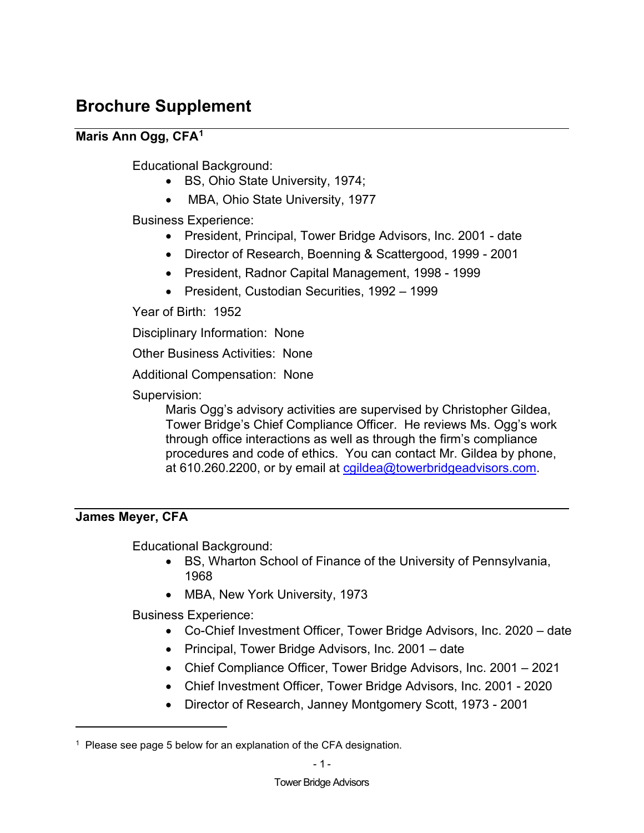# **Brochure Supplement**

# **Maris Ann Ogg, CFA[1](#page-1-0)**

Educational Background:

- BS, Ohio State University, 1974;
- MBA, Ohio State University, 1977

Business Experience:

- President, Principal, Tower Bridge Advisors, Inc. 2001 date
- Director of Research, Boenning & Scattergood, 1999 2001
- President, Radnor Capital Management, 1998 1999
- President, Custodian Securities, 1992 1999

Year of Birth: 1952

Disciplinary Information: None

Other Business Activities: None

Additional Compensation: None

Supervision:

Maris Ogg's advisory activities are supervised by Christopher Gildea, Tower Bridge's Chief Compliance Officer. He reviews Ms. Ogg's work through office interactions as well as through the firm's compliance procedures and code of ethics. You can contact Mr. Gildea by phone, at 610.260.2200, or by email at [cgildea@towerbridgeadvisors.com.](mailto:cgildea@towerbridgeadvisors.com)

# **James Meyer, CFA**

Educational Background:

- BS, Wharton School of Finance of the University of Pennsylvania, 1968
- MBA, New York University, 1973

Business Experience:

- Co-Chief Investment Officer, Tower Bridge Advisors, Inc. 2020 date
- Principal, Tower Bridge Advisors, Inc. 2001 date
- Chief Compliance Officer, Tower Bridge Advisors, Inc. 2001 2021
- Chief Investment Officer, Tower Bridge Advisors, Inc. 2001 2020
- Director of Research, Janney Montgomery Scott, 1973 2001

<span id="page-1-0"></span> $1$  Please see page 5 below for an explanation of the CFA designation.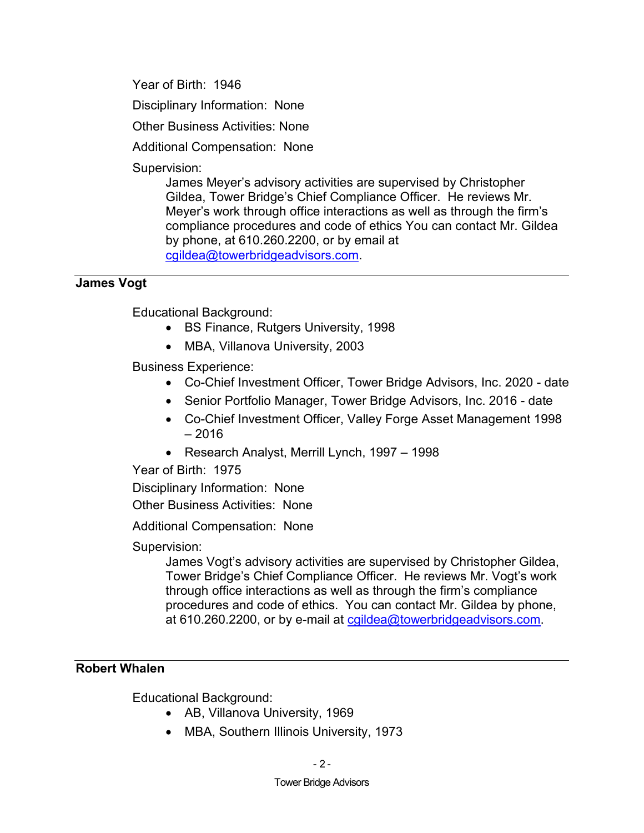Year of Birth: 1946

Disciplinary Information: None

Other Business Activities: None

Additional Compensation: None

Supervision:

James Meyer's advisory activities are supervised by Christopher Gildea, Tower Bridge's Chief Compliance Officer. He reviews Mr. Meyer's work through office interactions as well as through the firm's compliance procedures and code of ethics You can contact Mr. Gildea by phone, at 610.260.2200, or by email at [cgildea@towerbridgeadvisors.com.](mailto:cgildea@towerbridgeadvisors.com)

## **James Vogt**

Educational Background:

- BS Finance, Rutgers University, 1998
- MBA, Villanova University, 2003

Business Experience:

- Co-Chief Investment Officer, Tower Bridge Advisors, Inc. 2020 date
- Senior Portfolio Manager, Tower Bridge Advisors, Inc. 2016 date
- Co-Chief Investment Officer, Valley Forge Asset Management 1998 – 2016
- Research Analyst, Merrill Lynch, 1997 1998

Year of Birth: 1975

Disciplinary Information: None

Other Business Activities: None

Additional Compensation: None

Supervision:

James Vogt's advisory activities are supervised by Christopher Gildea, Tower Bridge's Chief Compliance Officer. He reviews Mr. Vogt's work through office interactions as well as through the firm's compliance procedures and code of ethics. You can contact Mr. Gildea by phone, at 610.260.2200, or by e-mail at [cgildea@towerbridgeadvisors.com.](mailto:cgildea@towerbridgeadvisors.com)

## **Robert Whalen**

Educational Background:

- AB, Villanova University, 1969
- MBA, Southern Illinois University, 1973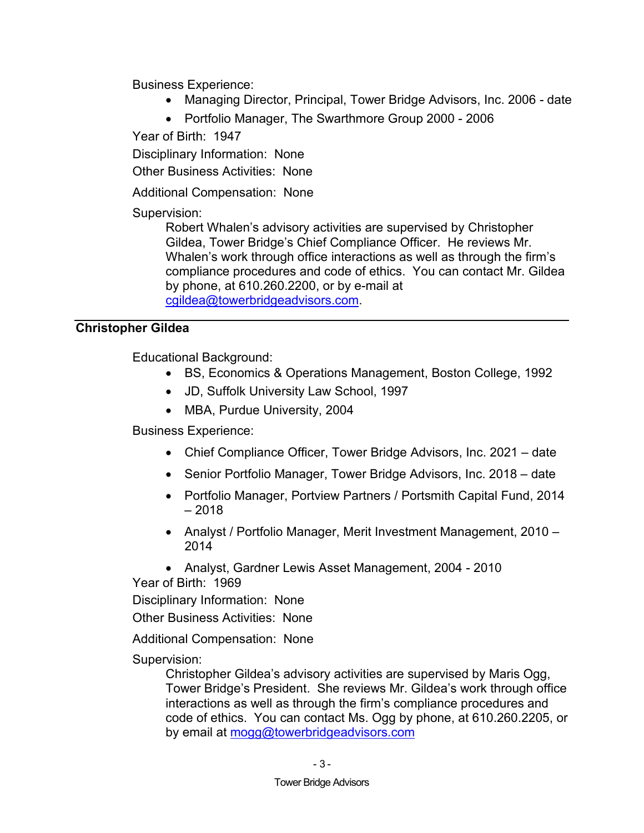Business Experience:

- Managing Director, Principal, Tower Bridge Advisors, Inc. 2006 date
- Portfolio Manager, The Swarthmore Group 2000 2006

Year of Birth: 1947

Disciplinary Information: None

Other Business Activities: None

Additional Compensation: None

## Supervision:

Robert Whalen's advisory activities are supervised by Christopher Gildea, Tower Bridge's Chief Compliance Officer. He reviews Mr. Whalen's work through office interactions as well as through the firm's compliance procedures and code of ethics. You can contact Mr. Gildea by phone, at 610.260.2200, or by e-mail at [cgildea@towerbridgeadvisors.com.](mailto:cgildea@towerbridgeadvisors.com)

## **Christopher Gildea**

Educational Background:

- BS, Economics & Operations Management, Boston College, 1992
- JD, Suffolk University Law School, 1997
- MBA, Purdue University, 2004

Business Experience:

- Chief Compliance Officer, Tower Bridge Advisors, Inc. 2021 date
- Senior Portfolio Manager, Tower Bridge Advisors, Inc. 2018 date
- Portfolio Manager, Portview Partners / Portsmith Capital Fund, 2014  $-2018$
- Analyst / Portfolio Manager, Merit Investment Management, 2010 2014

• Analyst, Gardner Lewis Asset Management, 2004 - 2010 Year of Birth: 1969

Disciplinary Information: None

Other Business Activities: None

Additional Compensation: None

Supervision:

Christopher Gildea's advisory activities are supervised by Maris Ogg, Tower Bridge's President. She reviews Mr. Gildea's work through office interactions as well as through the firm's compliance procedures and code of ethics. You can contact Ms. Ogg by phone, at 610.260.2205, or by email at [mogg@towerbridgeadvisors.com](mailto:mogg@towerbridgeadvisors.com)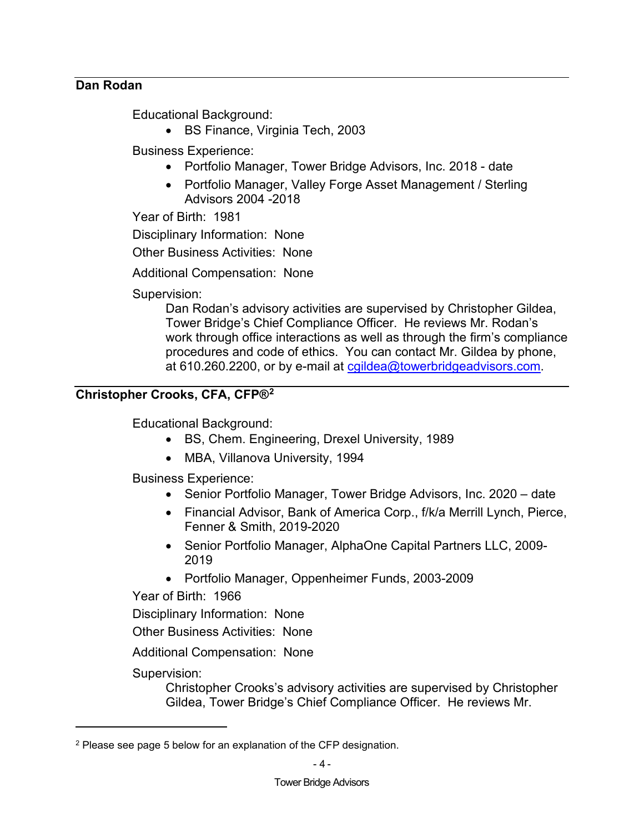#### **Dan Rodan**

Educational Background:

• BS Finance, Virginia Tech, 2003

Business Experience:

- Portfolio Manager, Tower Bridge Advisors, Inc. 2018 date
- Portfolio Manager, Valley Forge Asset Management / Sterling Advisors 2004 -2018

Year of Birth: 1981

Disciplinary Information: None

Other Business Activities: None

Additional Compensation: None

Supervision:

Dan Rodan's advisory activities are supervised by Christopher Gildea, Tower Bridge's Chief Compliance Officer. He reviews Mr. Rodan's work through office interactions as well as through the firm's compliance procedures and code of ethics. You can contact Mr. Gildea by phone, at 610.260.2200, or by e-mail at [cgildea@towerbridgeadvisors.com.](mailto:cgildea@towerbridgeadvisors.com)

## **Christopher Crooks, CFA, CFP®[2](#page-4-0)**

Educational Background:

- BS, Chem. Engineering, Drexel University, 1989
- MBA, Villanova University, 1994

Business Experience:

- Senior Portfolio Manager, Tower Bridge Advisors, Inc. 2020 date
- Financial Advisor, Bank of America Corp., f/k/a Merrill Lynch, Pierce, Fenner & Smith, 2019-2020
- Senior Portfolio Manager, AlphaOne Capital Partners LLC, 2009- 2019
- Portfolio Manager, Oppenheimer Funds, 2003-2009

Year of Birth: 1966

Disciplinary Information: None

Other Business Activities: None

Additional Compensation: None

Supervision:

Christopher Crooks's advisory activities are supervised by Christopher Gildea, Tower Bridge's Chief Compliance Officer. He reviews Mr.

<span id="page-4-0"></span><sup>2</sup> Please see page 5 below for an explanation of the CFP designation.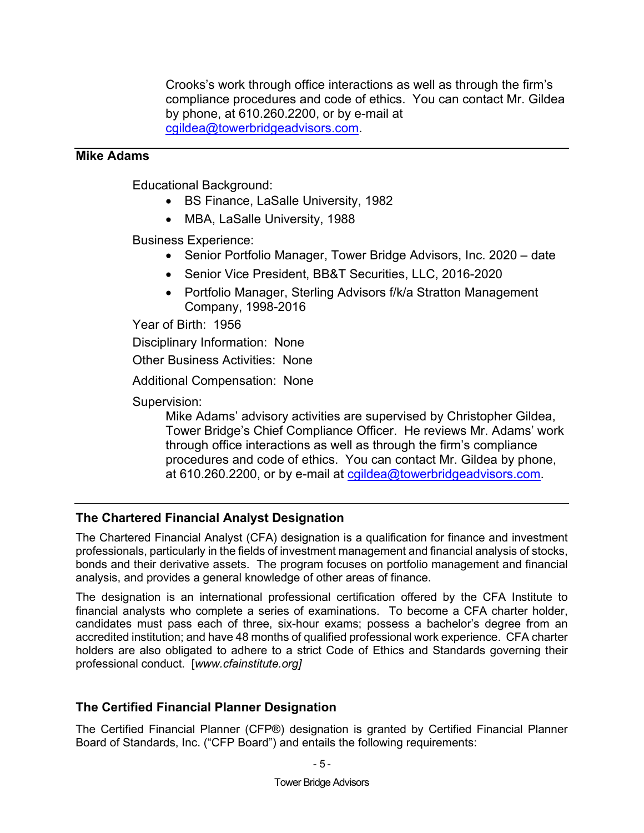Crooks's work through office interactions as well as through the firm's compliance procedures and code of ethics. You can contact Mr. Gildea by phone, at 610.260.2200, or by e-mail at [cgildea@towerbridgeadvisors.com.](mailto:cgildea@towerbridgeadvisors.com)

#### **Mike Adams**

Educational Background:

- BS Finance, LaSalle University, 1982
- MBA, LaSalle University, 1988

Business Experience:

- Senior Portfolio Manager, Tower Bridge Advisors, Inc. 2020 date
- Senior Vice President, BB&T Securities, LLC, 2016-2020
- Portfolio Manager, Sterling Advisors f/k/a Stratton Management Company, 1998-2016

Year of Birth: 1956

Disciplinary Information: None

Other Business Activities: None

Additional Compensation: None

Supervision:

Mike Adams' advisory activities are supervised by Christopher Gildea, Tower Bridge's Chief Compliance Officer. He reviews Mr. Adams' work through office interactions as well as through the firm's compliance procedures and code of ethics. You can contact Mr. Gildea by phone, at 610.260.2200, or by e-mail at [cgildea@towerbridgeadvisors.com.](mailto:cgildea@towerbridgeadvisors.com)

#### **The Chartered Financial Analyst Designation**

The Chartered Financial Analyst (CFA) designation is a qualification for finance and investment professionals, particularly in the fields of investment management and financial analysis of stocks, bonds and their derivative assets. The program focuses on portfolio management and financial analysis, and provides a general knowledge of other areas of finance.

The designation is an international professional certification offered by the CFA Institute to financial analysts who complete a series of examinations. To become a CFA charter holder, candidates must pass each of three, six-hour exams; possess a bachelor's degree from an accredited institution; and have 48 months of qualified professional work experience. CFA charter holders are also obligated to adhere to a strict Code of Ethics and Standards governing their professional conduct. [*www.cfainstitute.org]*

#### **The Certified Financial Planner Designation**

The Certified Financial Planner (CFP®) designation is granted by Certified Financial Planner Board of Standards, Inc. ("CFP Board") and entails the following requirements: